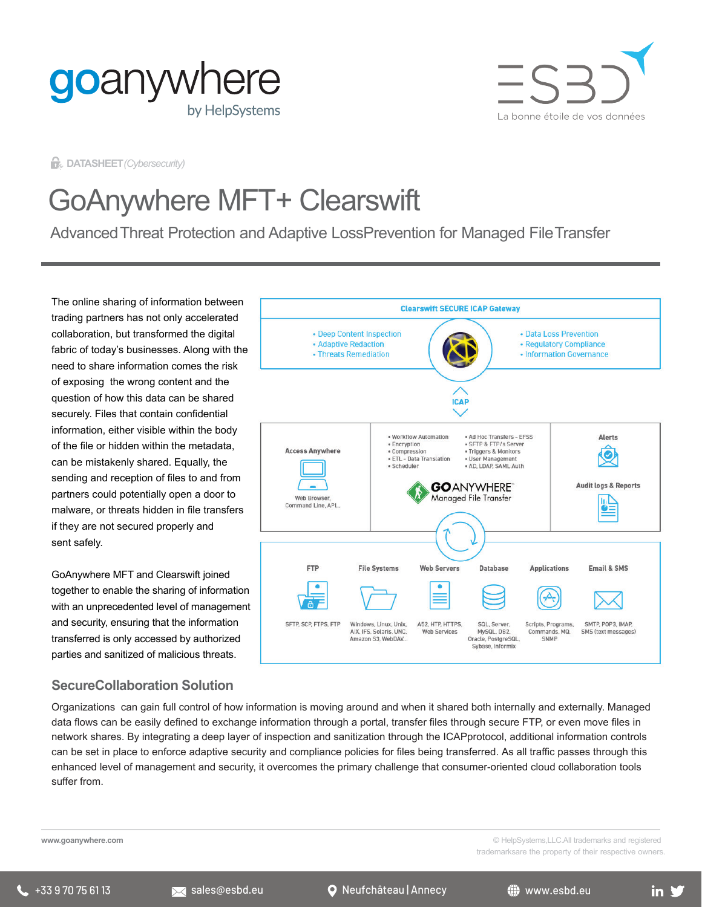



**DATASHEET***(Cybersecurity)*

# GoAnywhere MFT+ Clearswift

AdvancedThreat Protection and Adaptive LossPrevention for Managed FileTransfer

The online sharing of information between trading partners has not only accelerated collaboration, but transformed the digital fabric of today's businesses. Along with the need to share information comes the risk of exposing the wrong content and the question of how this data can be shared securely. Files that contain confidential information, either visible within the body of the file or hidden within the metadata, can be mistakenly shared. Equally, the sending and reception of files to and from partners could potentially open a door to malware, or threats hidden in file transfers if they are not secured properly and sent safely.

GoAnywhere MFT and Clearswift joined together to enable the sharing of information with an unprecedented level of management and security, ensuring that the information transferred is only accessed by authorized parties and sanitized of malicious threats.

# **SecureCollaboration Solution**



Organizations can gain full control of how information is moving around and when it shared both internally and externally. Managed data flows can be easily defined to exchange information through a portal, transfer files through secure FTP, or even move files in network shares. By integrating a deep layer of inspection and sanitization through the ICAPprotocol, additional information controls can be set in place to enforce adaptive security and compliance policies for files being transferred. As all traffic passes through this enhanced level of management and security, it overcomes the primary challenge that consumer-oriented cloud collaboration tools suffer from.

**www.goanywhere.com**

© HelpSystems,LLC.All trademarks and registered trademarksare the property of their respective owners.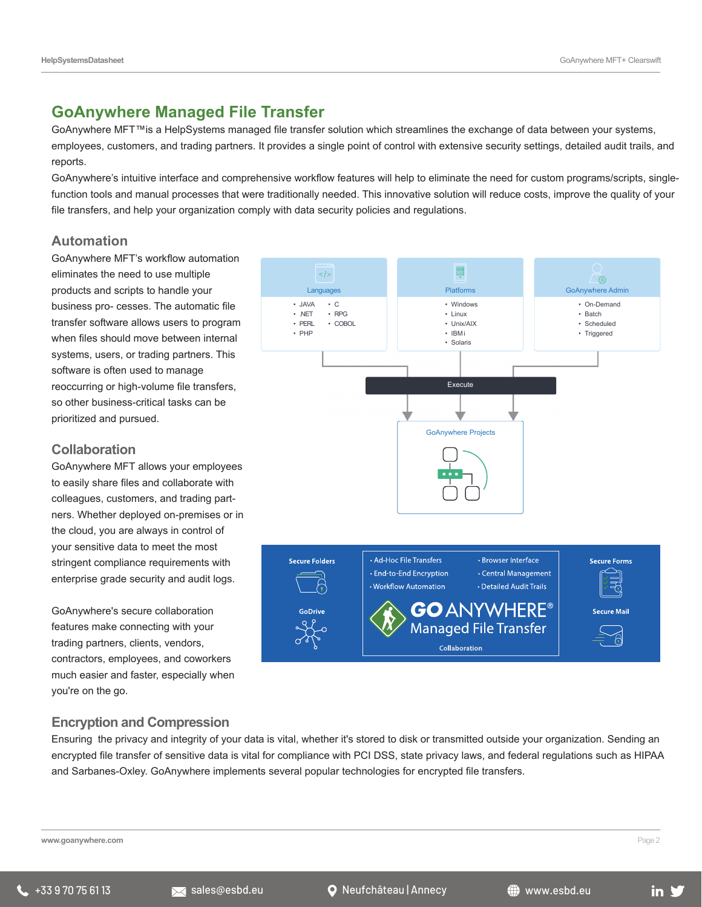# **GoAnywhere Managed File Transfer**

GoAnywhere MFT™is a HelpSystems managed file transfer solution which streamlines the exchange of data between your systems, employees, customers, and trading partners. It provides a single point of control with extensive security settings, detailed audit trails, and reports.

GoAnywhere's intuitive interface and comprehensive workflow features will help to eliminate the need for custom programs/scripts, singlefunction tools and manual processes that were traditionally needed. This innovative solution will reduce costs, improve the quality of your file transfers, and help your organization comply with data security policies and regulations.

#### **Automation**

GoAnywhere MFT's workflow automation eliminates the need to use multiple products and scripts to handle your business pro- cesses. The automatic file transfer software allows users to program when files should move between internal systems, users, or trading partners. This software is often used to manage reoccurring or high-volume file transfers, so other business-critical tasks can be prioritized and pursued.

#### **Collaboration**

GoAnywhere MFT allows your employees to easily share files and collaborate with colleagues, customers, and trading partners. Whether deployed on-premises or in the cloud, you are always in control of your sensitive data to meet the most stringent compliance requirements with enterprise grade security and audit logs.

GoAnywhere's secure collaboration features make connecting with your trading partners, clients, vendors, contractors, employees, and coworkers much easier and faster, especially when you're on the go.



## **Encryption and Compression**

Ensuring the privacy and integrity of your data is vital, whether it's stored to disk or transmitted outside your organization. Sending an encrypted file transfer of sensitive data is vital for compliance with PCI DSS, state privacy laws, and federal regulations such as HIPAA and Sarbanes-Oxley. GoAnywhere implements several popular technologies for encrypted file transfers.

**www.goanywhere.com** Page 2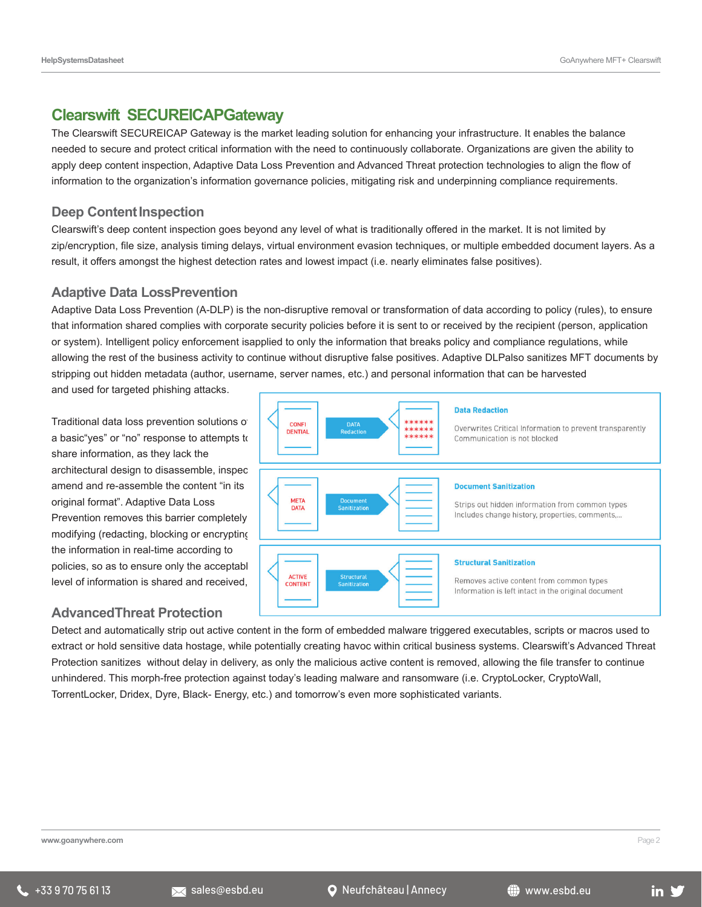## **Clearswift SECUREICAPGateway**

The Clearswift SECUREICAP Gateway is the market leading solution for enhancing your infrastructure. It enables the balance needed to secure and protect critical information with the need to continuously collaborate. Organizations are given the ability to apply deep content inspection, Adaptive Data Loss Prevention and Advanced Threat protection technologies to align the flow of information to the organization's information governance policies, mitigating risk and underpinning compliance requirements.

#### **Deep Content Inspection**

Clearswift's deep content inspection goes beyond any level of what is traditionally offered in the market. It is not limited by zip/encryption, file size, analysis timing delays, virtual environment evasion techniques, or multiple embedded document layers. As a result, it offers amongst the highest detection rates and lowest impact (i.e. nearly eliminates false positives).

#### **Adaptive Data LossPrevention**

Adaptive Data Loss Prevention (A-DLP) is the non-disruptive removal or transformation of data according to policy (rules), to ensure that information shared complies with corporate security policies before it is sent to or received by the recipient (person, application or system). Intelligent policy enforcement isapplied to only the information that breaks policy and compliance regulations, while allowing the rest of the business activity to continue without disruptive false positives. Adaptive DLPalso sanitizes MFT documents by stripping out hidden metadata (author, username, server names, etc.) and personal information that can be harvested

and used for targeted phishing attacks.

Traditional data loss prevention solutions of a basic"yes" or "no" response to attempts to share information, as they lack the architectural design to disassemble, inspec amend and re-assemble the content "in its original format". Adaptive Data Loss Prevention removes this barrier completely modifying (redacting, blocking or encrypting) the information in real-time according to policies, so as to ensure only the acceptabl

## **AdvancedThreat Protection**



Detect and automatically strip out active content in the form of embedded malware triggered executables, scripts or macros used to extract or hold sensitive data hostage, while potentially creating havoc within critical business systems. Clearswift's Advanced Threat Protection sanitizes without delay in delivery, as only the malicious active content is removed, allowing the file transfer to continue unhindered. This morph-free protection against today's leading malware and ransomware (i.e. CryptoLocker, CryptoWall, TorrentLocker, Dridex, Dyre, Black- Energy, etc.) and tomorrow's even more sophisticated variants.

**www.goanywhere.com** Page 2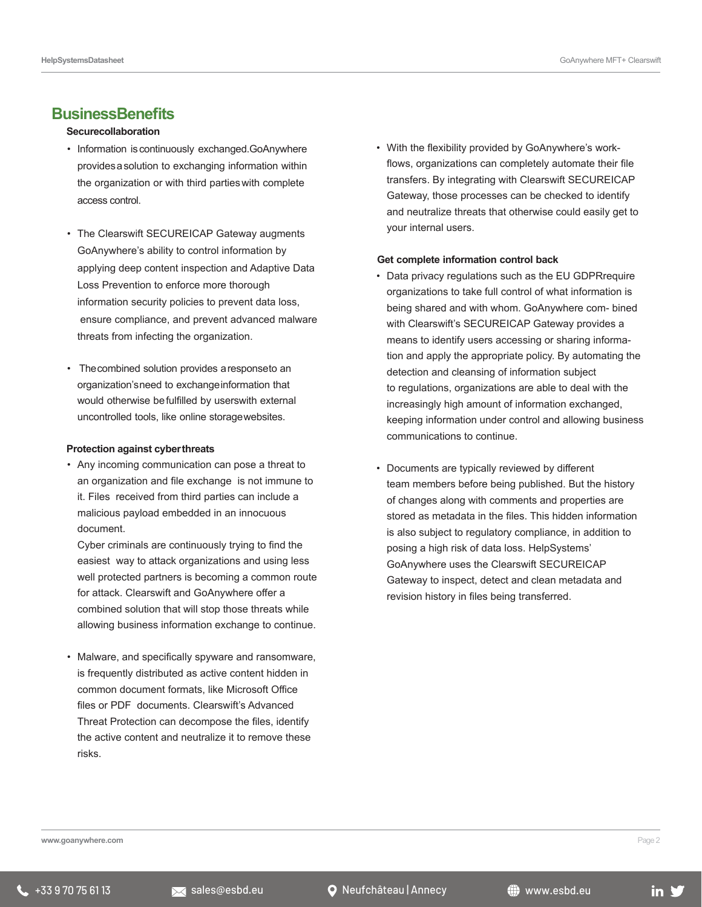#### **BusinessBenefits**

#### **Securecollaboration**

- Information iscontinuously exchanged.GoAnywhere providesasolution to exchanging information within the organization or with third partieswith complete access control.
- The Clearswift SECUREICAP Gateway augments GoAnywhere's ability to control information by applying deep content inspection and Adaptive Data Loss Prevention to enforce more thorough information security policies to prevent data loss, ensure compliance, and prevent advanced malware threats from infecting the organization.
- Thecombined solution provides aresponseto an organization'sneed to exchangeinformation that would otherwise befulfilled by userswith external uncontrolled tools, like online storagewebsites.

#### **Protection against cyberthreats**

• Any incoming communication can pose a threat to an organization and file exchange is not immune to it. Files received from third parties can include a malicious payload embedded in an innocuous document.

Cyber criminals are continuously trying to find the easiest way to attack organizations and using less well protected partners is becoming a common route for attack. Clearswift and GoAnywhere offer a combined solution that will stop those threats while allowing business information exchange to continue.

• Malware, and specifically spyware and ransomware, is frequently distributed as active content hidden in common document formats, like Microsoft Office files or PDF documents. Clearswift's Advanced Threat Protection can decompose the files, identify the active content and neutralize it to remove these risks.

• With the flexibility provided by GoAnywhere's workflows, organizations can completely automate their file transfers. By integrating with Clearswift SECUREICAP Gateway, those processes can be checked to identify and neutralize threats that otherwise could easily get to your internal users.

#### **Get complete information control back**

- Data privacy regulations such as the EU GDPRrequire organizations to take full control of what information is being shared and with whom. GoAnywhere com- bined with Clearswift's SECUREICAP Gateway provides a means to identify users accessing or sharing information and apply the appropriate policy. By automating the detection and cleansing of information subject to regulations, organizations are able to deal with the increasingly high amount of information exchanged, keeping information under control and allowing business communications to continue.
- Documents are typically reviewed by different team members before being published. But the history of changes along with comments and properties are stored as metadata in the files. This hidden information is also subject to regulatory compliance, in addition to posing a high risk of data loss. HelpSystems' GoAnywhere uses the Clearswift SECUREICAP Gateway to inspect, detect and clean metadata and revision history in files being transferred.

**www.goanywhere.com** Page 2